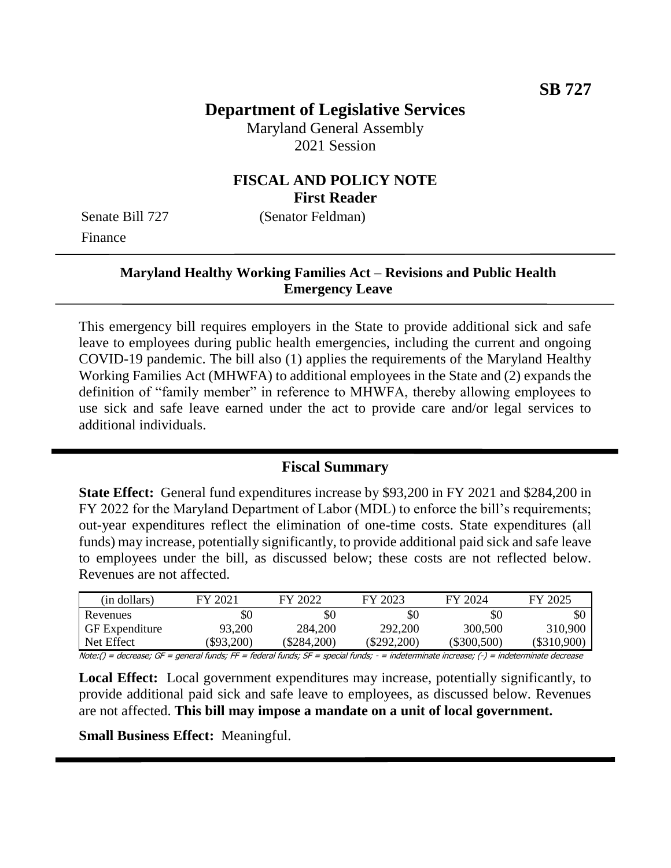# **Department of Legislative Services**

Maryland General Assembly 2021 Session

# **FISCAL AND POLICY NOTE First Reader**

Finance

Senate Bill 727 (Senator Feldman)

# **Maryland Healthy Working Families Act – Revisions and Public Health Emergency Leave**

This emergency bill requires employers in the State to provide additional sick and safe leave to employees during public health emergencies, including the current and ongoing COVID-19 pandemic. The bill also (1) applies the requirements of the Maryland Healthy Working Families Act (MHWFA) to additional employees in the State and (2) expands the definition of "family member" in reference to MHWFA, thereby allowing employees to use sick and safe leave earned under the act to provide care and/or legal services to additional individuals.

### **Fiscal Summary**

**State Effect:** General fund expenditures increase by \$93,200 in FY 2021 and \$284,200 in FY 2022 for the Maryland Department of Labor (MDL) to enforce the bill's requirements; out-year expenditures reflect the elimination of one-time costs. State expenditures (all funds) may increase, potentially significantly, to provide additional paid sick and safe leave to employees under the bill, as discussed below; these costs are not reflected below. Revenues are not affected.

| (in dollars)          | FY 2021  | FY 2022   | FY 2023     | FY 2024       | FY 2025     |
|-----------------------|----------|-----------|-------------|---------------|-------------|
| Revenues              | \$0      | SC        | \$0         | \$0           | \$0         |
| <b>GF</b> Expenditure | 93,200   | 284,200   | 292,200     | 300,500       | 310,900     |
| Net Effect            | \$93,200 | \$284,200 | (\$292.200) | $(\$300,500)$ | (\$310.900) |

Note:() = decrease; GF = general funds; FF = federal funds; SF = special funds; - = indeterminate increase; (-) = indeterminate decrease

**Local Effect:** Local government expenditures may increase, potentially significantly, to provide additional paid sick and safe leave to employees, as discussed below. Revenues are not affected. **This bill may impose a mandate on a unit of local government.**

**Small Business Effect:** Meaningful.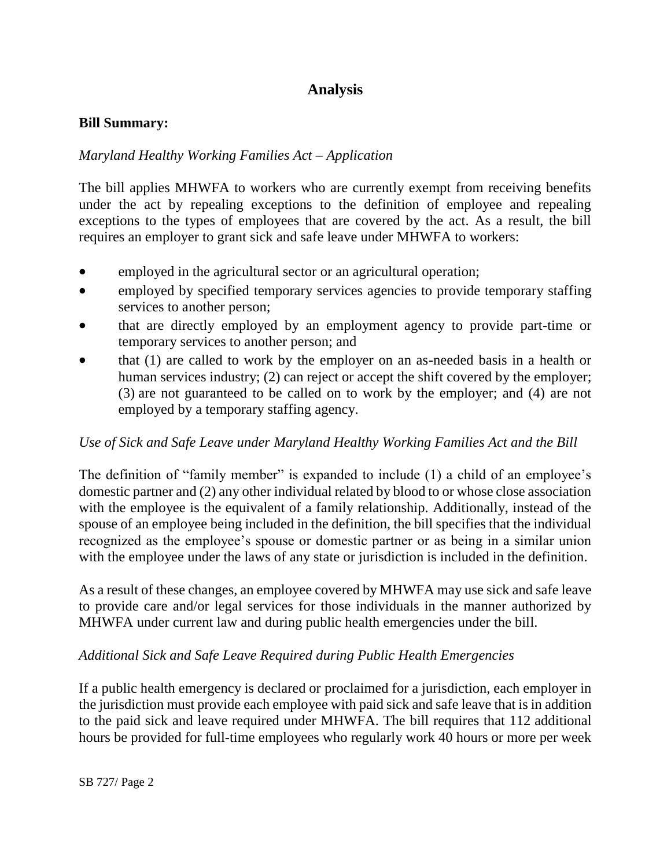# **Analysis**

### **Bill Summary:**

### *Maryland Healthy Working Families Act – Application*

The bill applies MHWFA to workers who are currently exempt from receiving benefits under the act by repealing exceptions to the definition of employee and repealing exceptions to the types of employees that are covered by the act. As a result, the bill requires an employer to grant sick and safe leave under MHWFA to workers:

- employed in the agricultural sector or an agricultural operation;
- employed by specified temporary services agencies to provide temporary staffing services to another person;
- that are directly employed by an employment agency to provide part-time or temporary services to another person; and
- that (1) are called to work by the employer on an as-needed basis in a health or human services industry; (2) can reject or accept the shift covered by the employer; (3) are not guaranteed to be called on to work by the employer; and (4) are not employed by a temporary staffing agency.

### *Use of Sick and Safe Leave under Maryland Healthy Working Families Act and the Bill*

The definition of "family member" is expanded to include (1) a child of an employee's domestic partner and (2) any other individual related by blood to or whose close association with the employee is the equivalent of a family relationship. Additionally, instead of the spouse of an employee being included in the definition, the bill specifies that the individual recognized as the employee's spouse or domestic partner or as being in a similar union with the employee under the laws of any state or jurisdiction is included in the definition.

As a result of these changes, an employee covered by MHWFA may use sick and safe leave to provide care and/or legal services for those individuals in the manner authorized by MHWFA under current law and during public health emergencies under the bill.

### *Additional Sick and Safe Leave Required during Public Health Emergencies*

If a public health emergency is declared or proclaimed for a jurisdiction, each employer in the jurisdiction must provide each employee with paid sick and safe leave that is in addition to the paid sick and leave required under MHWFA. The bill requires that 112 additional hours be provided for full-time employees who regularly work 40 hours or more per week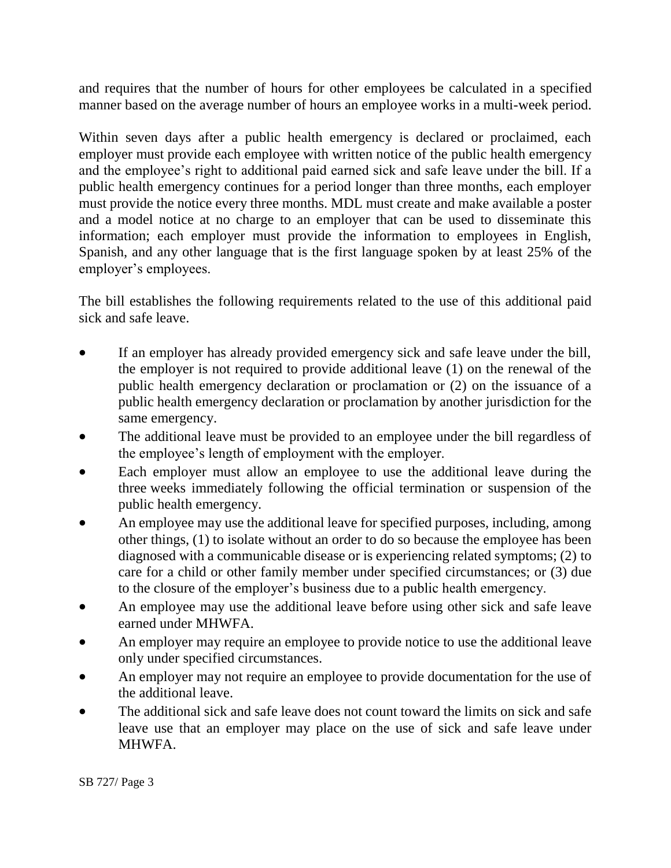and requires that the number of hours for other employees be calculated in a specified manner based on the average number of hours an employee works in a multi-week period.

Within seven days after a public health emergency is declared or proclaimed, each employer must provide each employee with written notice of the public health emergency and the employee's right to additional paid earned sick and safe leave under the bill. If a public health emergency continues for a period longer than three months, each employer must provide the notice every three months. MDL must create and make available a poster and a model notice at no charge to an employer that can be used to disseminate this information; each employer must provide the information to employees in English, Spanish, and any other language that is the first language spoken by at least 25% of the employer's employees.

The bill establishes the following requirements related to the use of this additional paid sick and safe leave.

- If an employer has already provided emergency sick and safe leave under the bill, the employer is not required to provide additional leave (1) on the renewal of the public health emergency declaration or proclamation or (2) on the issuance of a public health emergency declaration or proclamation by another jurisdiction for the same emergency.
- The additional leave must be provided to an employee under the bill regardless of the employee's length of employment with the employer.
- Each employer must allow an employee to use the additional leave during the three weeks immediately following the official termination or suspension of the public health emergency.
- An employee may use the additional leave for specified purposes, including, among other things, (1) to isolate without an order to do so because the employee has been diagnosed with a communicable disease or is experiencing related symptoms; (2) to care for a child or other family member under specified circumstances; or (3) due to the closure of the employer's business due to a public health emergency.
- An employee may use the additional leave before using other sick and safe leave earned under MHWFA.
- An employer may require an employee to provide notice to use the additional leave only under specified circumstances.
- An employer may not require an employee to provide documentation for the use of the additional leave.
- The additional sick and safe leave does not count toward the limits on sick and safe leave use that an employer may place on the use of sick and safe leave under MHWFA.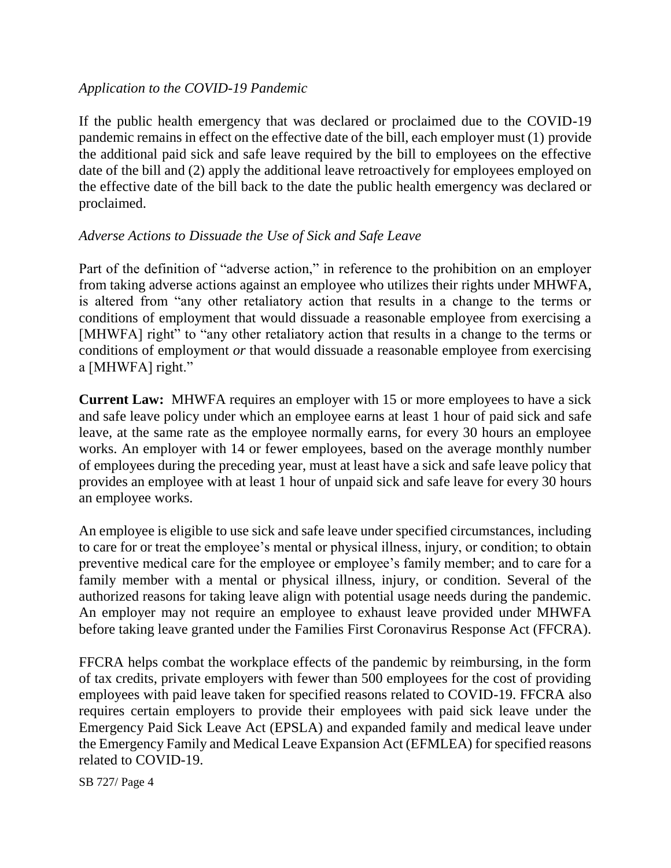### *Application to the COVID-19 Pandemic*

If the public health emergency that was declared or proclaimed due to the COVID-19 pandemic remains in effect on the effective date of the bill, each employer must (1) provide the additional paid sick and safe leave required by the bill to employees on the effective date of the bill and (2) apply the additional leave retroactively for employees employed on the effective date of the bill back to the date the public health emergency was declared or proclaimed.

### *Adverse Actions to Dissuade the Use of Sick and Safe Leave*

Part of the definition of "adverse action," in reference to the prohibition on an employer from taking adverse actions against an employee who utilizes their rights under MHWFA, is altered from "any other retaliatory action that results in a change to the terms or conditions of employment that would dissuade a reasonable employee from exercising a [MHWFA] right" to "any other retaliatory action that results in a change to the terms or conditions of employment *or* that would dissuade a reasonable employee from exercising a [MHWFA] right."

**Current Law:** MHWFA requires an employer with 15 or more employees to have a sick and safe leave policy under which an employee earns at least 1 hour of paid sick and safe leave, at the same rate as the employee normally earns, for every 30 hours an employee works. An employer with 14 or fewer employees, based on the average monthly number of employees during the preceding year, must at least have a sick and safe leave policy that provides an employee with at least 1 hour of unpaid sick and safe leave for every 30 hours an employee works.

An employee is eligible to use sick and safe leave under specified circumstances, including to care for or treat the employee's mental or physical illness, injury, or condition; to obtain preventive medical care for the employee or employee's family member; and to care for a family member with a mental or physical illness, injury, or condition. Several of the authorized reasons for taking leave align with potential usage needs during the pandemic. An employer may not require an employee to exhaust leave provided under MHWFA before taking leave granted under the Families First Coronavirus Response Act (FFCRA).

FFCRA helps combat the workplace effects of the pandemic by reimbursing, in the form of tax credits, private employers with fewer than 500 employees for the cost of providing employees with paid leave taken for specified reasons related to COVID-19. FFCRA also requires certain employers to provide their employees with paid sick leave under the Emergency Paid Sick Leave Act (EPSLA) and expanded family and medical leave under the Emergency Family and Medical Leave Expansion Act (EFMLEA) for specified reasons related to COVID-19.

SB 727/ Page 4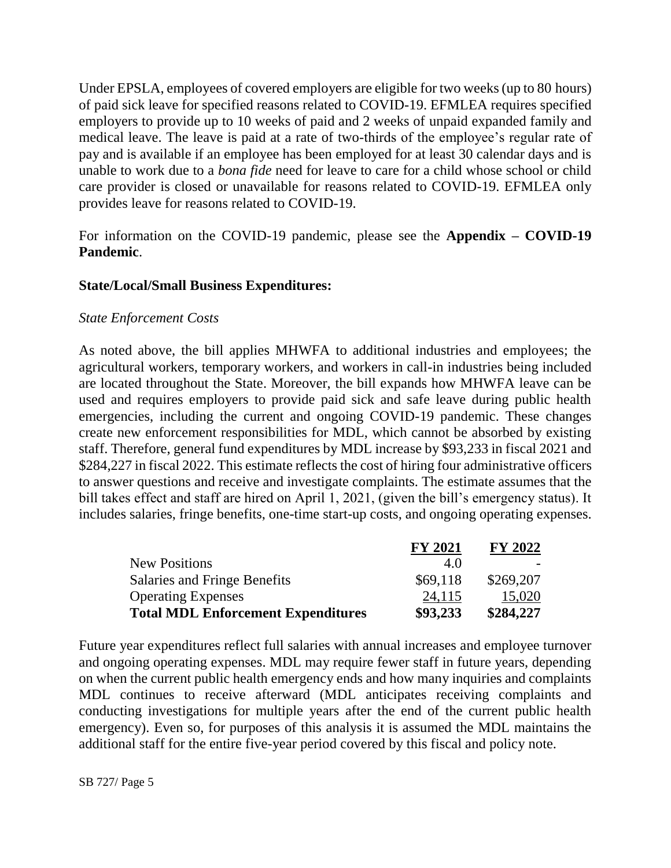Under EPSLA, employees of covered employers are eligible for two weeks (up to 80 hours) of paid sick leave for specified reasons related to COVID-19. EFMLEA requires specified employers to provide up to 10 weeks of paid and 2 weeks of unpaid expanded family and medical leave. The leave is paid at a rate of two-thirds of the employee's regular rate of pay and is available if an employee has been employed for at least 30 calendar days and is unable to work due to a *bona fide* need for leave to care for a child whose school or child care provider is closed or unavailable for reasons related to COVID-19. EFMLEA only provides leave for reasons related to COVID-19.

For information on the COVID-19 pandemic, please see the **Appendix – COVID-19 Pandemic**.

### **State/Local/Small Business Expenditures:**

#### *State Enforcement Costs*

As noted above, the bill applies MHWFA to additional industries and employees; the agricultural workers, temporary workers, and workers in call-in industries being included are located throughout the State. Moreover, the bill expands how MHWFA leave can be used and requires employers to provide paid sick and safe leave during public health emergencies, including the current and ongoing COVID-19 pandemic. These changes create new enforcement responsibilities for MDL, which cannot be absorbed by existing staff. Therefore, general fund expenditures by MDL increase by \$93,233 in fiscal 2021 and \$284,227 in fiscal 2022. This estimate reflects the cost of hiring four administrative officers to answer questions and receive and investigate complaints. The estimate assumes that the bill takes effect and staff are hired on April 1, 2021, (given the bill's emergency status). It includes salaries, fringe benefits, one-time start-up costs, and ongoing operating expenses.

|                                           | <b>FY 2021</b> | <b>FY 2022</b> |
|-------------------------------------------|----------------|----------------|
| <b>New Positions</b>                      | 4.0            |                |
| Salaries and Fringe Benefits              | \$69,118       | \$269,207      |
| <b>Operating Expenses</b>                 | 24,115         | 15,020         |
| <b>Total MDL Enforcement Expenditures</b> | \$93,233       | \$284,227      |

Future year expenditures reflect full salaries with annual increases and employee turnover and ongoing operating expenses. MDL may require fewer staff in future years, depending on when the current public health emergency ends and how many inquiries and complaints MDL continues to receive afterward (MDL anticipates receiving complaints and conducting investigations for multiple years after the end of the current public health emergency). Even so, for purposes of this analysis it is assumed the MDL maintains the additional staff for the entire five-year period covered by this fiscal and policy note.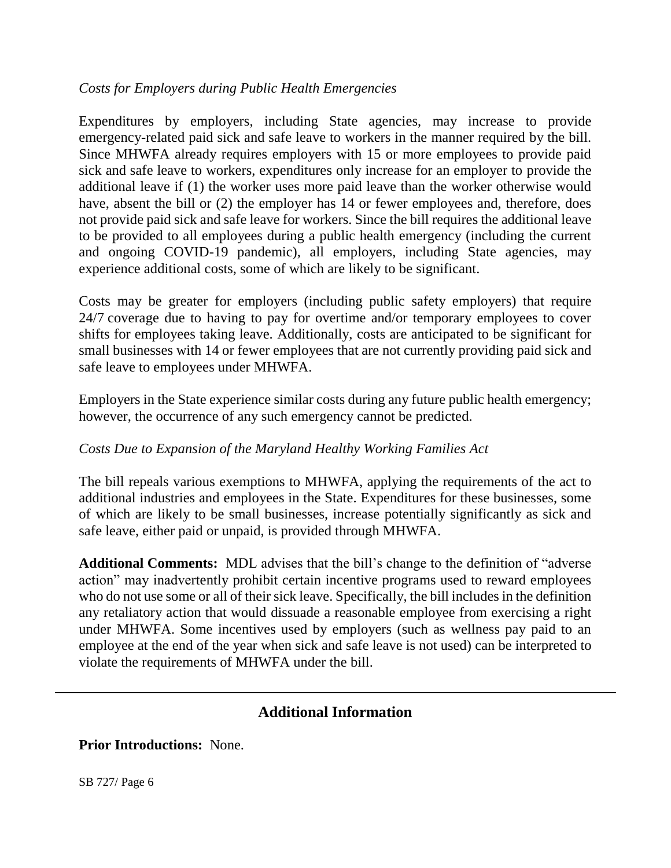### *Costs for Employers during Public Health Emergencies*

Expenditures by employers, including State agencies, may increase to provide emergency-related paid sick and safe leave to workers in the manner required by the bill. Since MHWFA already requires employers with 15 or more employees to provide paid sick and safe leave to workers, expenditures only increase for an employer to provide the additional leave if (1) the worker uses more paid leave than the worker otherwise would have, absent the bill or (2) the employer has 14 or fewer employees and, therefore, does not provide paid sick and safe leave for workers. Since the bill requires the additional leave to be provided to all employees during a public health emergency (including the current and ongoing COVID-19 pandemic), all employers, including State agencies, may experience additional costs, some of which are likely to be significant.

Costs may be greater for employers (including public safety employers) that require 24/7 coverage due to having to pay for overtime and/or temporary employees to cover shifts for employees taking leave. Additionally, costs are anticipated to be significant for small businesses with 14 or fewer employees that are not currently providing paid sick and safe leave to employees under MHWFA.

Employers in the State experience similar costs during any future public health emergency; however, the occurrence of any such emergency cannot be predicted.

# *Costs Due to Expansion of the Maryland Healthy Working Families Act*

The bill repeals various exemptions to MHWFA, applying the requirements of the act to additional industries and employees in the State. Expenditures for these businesses, some of which are likely to be small businesses, increase potentially significantly as sick and safe leave, either paid or unpaid, is provided through MHWFA.

**Additional Comments:** MDL advises that the bill's change to the definition of "adverse action" may inadvertently prohibit certain incentive programs used to reward employees who do not use some or all of their sick leave. Specifically, the bill includes in the definition any retaliatory action that would dissuade a reasonable employee from exercising a right under MHWFA. Some incentives used by employers (such as wellness pay paid to an employee at the end of the year when sick and safe leave is not used) can be interpreted to violate the requirements of MHWFA under the bill.

# **Additional Information**

**Prior Introductions:** None.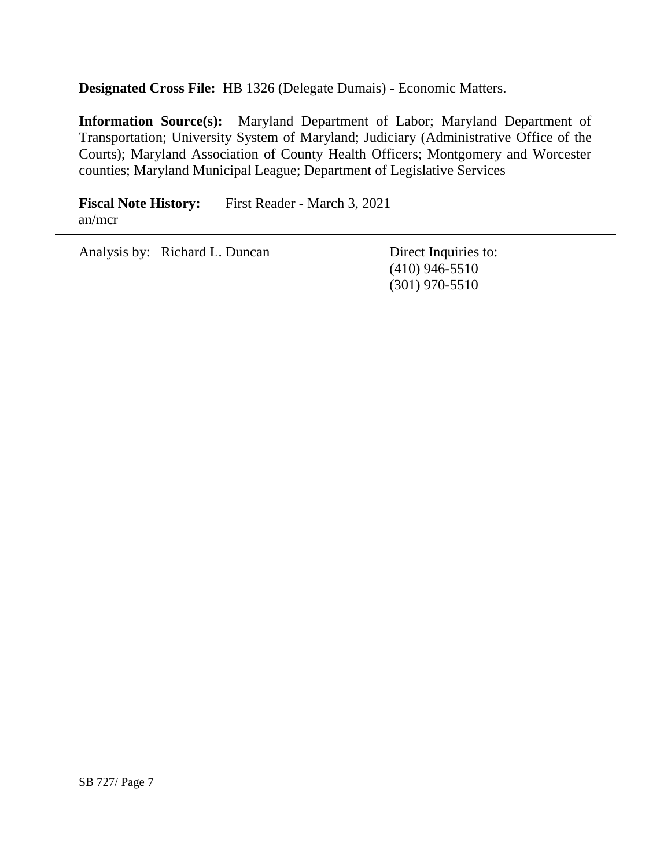**Designated Cross File:** HB 1326 (Delegate Dumais) - Economic Matters.

**Information Source(s):** Maryland Department of Labor; Maryland Department of Transportation; University System of Maryland; Judiciary (Administrative Office of the Courts); Maryland Association of County Health Officers; Montgomery and Worcester counties; Maryland Municipal League; Department of Legislative Services

Fiscal Note History: First Reader - March 3, 2021 an/mcr

Analysis by: Richard L. Duncan Direct Inquiries to:

(410) 946-5510 (301) 970-5510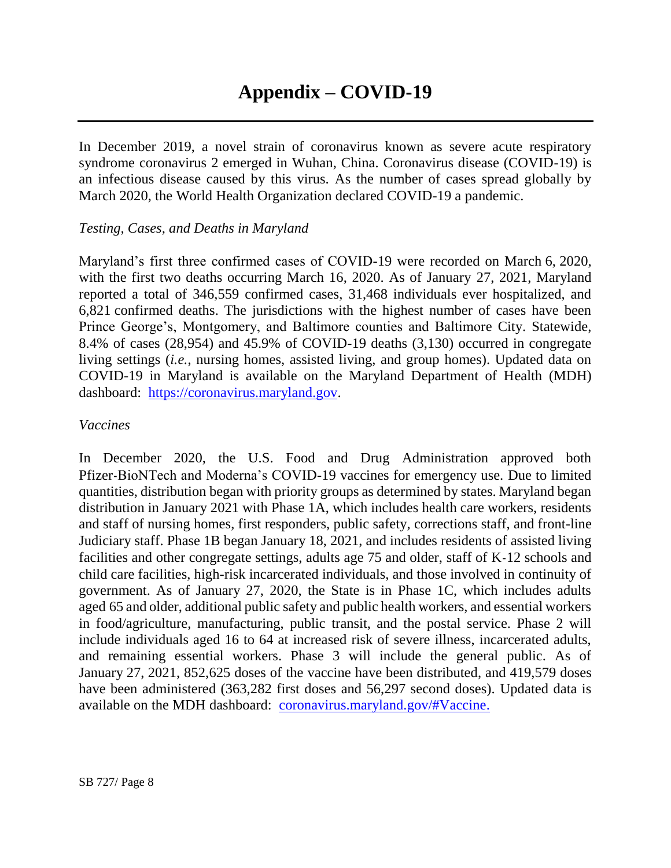In December 2019, a novel strain of coronavirus known as severe acute respiratory syndrome coronavirus 2 emerged in Wuhan, China. Coronavirus disease (COVID-19) is an infectious disease caused by this virus. As the number of cases spread globally by March 2020, the World Health Organization declared COVID-19 a pandemic.

### *Testing, Cases, and Deaths in Maryland*

Maryland's first three confirmed cases of COVID-19 were recorded on March 6, 2020, with the first two deaths occurring March 16, 2020. As of January 27, 2021, Maryland reported a total of 346,559 confirmed cases, 31,468 individuals ever hospitalized, and 6,821 confirmed deaths. The jurisdictions with the highest number of cases have been Prince George's, Montgomery, and Baltimore counties and Baltimore City. Statewide, 8.4% of cases (28,954) and 45.9% of COVID-19 deaths (3,130) occurred in congregate living settings (*i.e.*, nursing homes, assisted living, and group homes). Updated data on COVID-19 in Maryland is available on the Maryland Department of Health (MDH) dashboard: [https://coronavirus.maryland.gov.](https://coronavirus.maryland.gov/)

### *Vaccines*

In December 2020, the U.S. Food and Drug Administration approved both Pfizer-BioNTech and Moderna's COVID-19 vaccines for emergency use. Due to limited quantities, distribution began with priority groups as determined by states. Maryland began distribution in January 2021 with Phase 1A, which includes health care workers, residents and staff of nursing homes, first responders, public safety, corrections staff, and front-line Judiciary staff. Phase 1B began January 18, 2021, and includes residents of assisted living facilities and other congregate settings, adults age 75 and older, staff of K-12 schools and child care facilities, high-risk incarcerated individuals, and those involved in continuity of government. As of January 27, 2020, the State is in Phase 1C, which includes adults aged 65 and older, additional public safety and public health workers, and essential workers in food/agriculture, manufacturing, public transit, and the postal service. Phase 2 will include individuals aged 16 to 64 at increased risk of severe illness, incarcerated adults, and remaining essential workers. Phase 3 will include the general public. As of January 27, 2021, 852,625 doses of the vaccine have been distributed, and 419,579 doses have been administered (363,282 first doses and 56,297 second doses). Updated data is available on the MDH dashboard: [coronavirus.maryland.gov/#Vaccine.](https://coronavirus.maryland.gov/#Vaccine)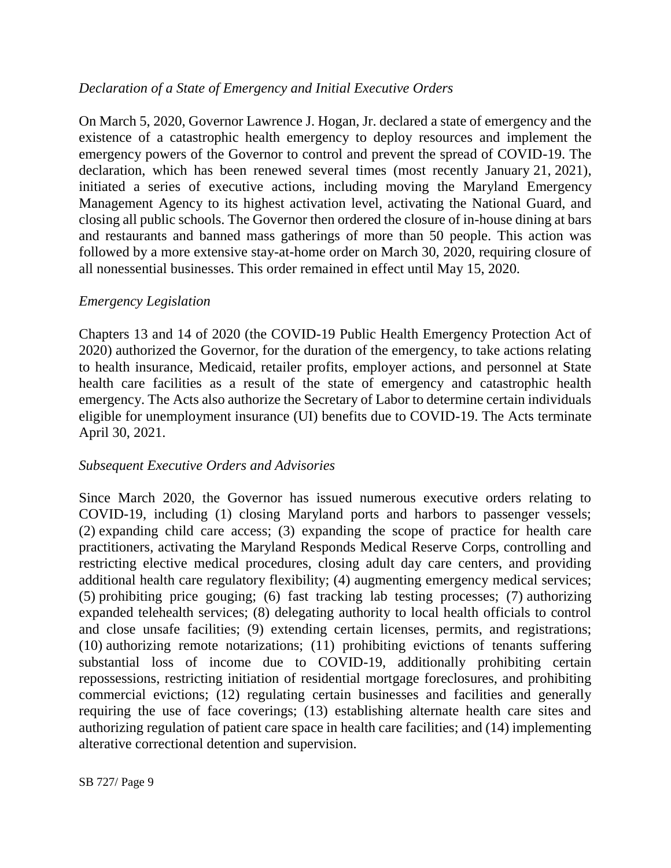## *Declaration of a State of Emergency and Initial Executive Orders*

On March 5, 2020, Governor Lawrence J. Hogan, Jr. declared a state of emergency and the existence of a catastrophic health emergency to deploy resources and implement the emergency powers of the Governor to control and prevent the spread of COVID-19. The declaration, which has been renewed several times (most recently January 21, 2021), initiated a series of executive actions, including moving the Maryland Emergency Management Agency to its highest activation level, activating the National Guard, and closing all public schools. The Governor then ordered the closure of in-house dining at bars and restaurants and banned mass gatherings of more than 50 people. This action was followed by a more extensive stay-at-home order on March 30, 2020, requiring closure of all nonessential businesses. This order remained in effect until May 15, 2020.

### *Emergency Legislation*

Chapters 13 and 14 of 2020 (the COVID-19 Public Health Emergency Protection Act of 2020) authorized the Governor, for the duration of the emergency, to take actions relating to health insurance, Medicaid, retailer profits, employer actions, and personnel at State health care facilities as a result of the state of emergency and catastrophic health emergency. The Acts also authorize the Secretary of Labor to determine certain individuals eligible for unemployment insurance (UI) benefits due to COVID-19. The Acts terminate April 30, 2021.

### *Subsequent Executive Orders and Advisories*

Since March 2020, the Governor has issued numerous executive orders relating to COVID-19, including (1) closing Maryland ports and harbors to passenger vessels; (2) expanding child care access; (3) expanding the scope of practice for health care practitioners, activating the Maryland Responds Medical Reserve Corps, controlling and restricting elective medical procedures, closing adult day care centers, and providing additional health care regulatory flexibility; (4) augmenting emergency medical services; (5) prohibiting price gouging; (6) fast tracking lab testing processes; (7) authorizing expanded telehealth services; (8) delegating authority to local health officials to control and close unsafe facilities; (9) extending certain licenses, permits, and registrations; (10) authorizing remote notarizations; (11) prohibiting evictions of tenants suffering substantial loss of income due to COVID-19, additionally prohibiting certain repossessions, restricting initiation of residential mortgage foreclosures, and prohibiting commercial evictions; (12) regulating certain businesses and facilities and generally requiring the use of face coverings; (13) establishing alternate health care sites and authorizing regulation of patient care space in health care facilities; and (14) implementing alterative correctional detention and supervision.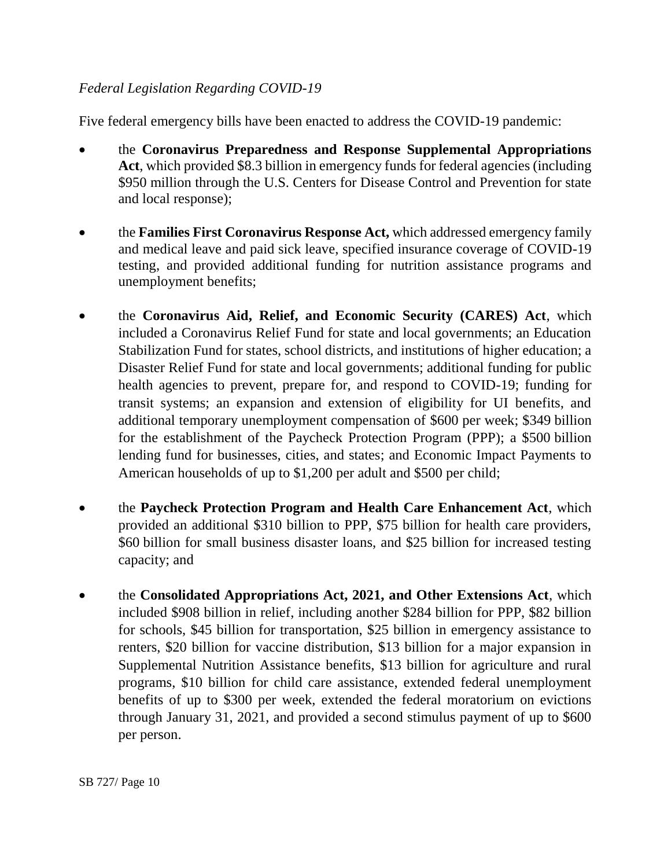# *Federal Legislation Regarding COVID-19*

Five federal emergency bills have been enacted to address the COVID-19 pandemic:

- the **Coronavirus Preparedness and Response Supplemental Appropriations Act**, which provided \$8.3 billion in emergency funds for federal agencies (including \$950 million through the U.S. Centers for Disease Control and Prevention for state and local response);
- the **Families First Coronavirus Response Act,** which addressed emergency family and medical leave and paid sick leave, specified insurance coverage of COVID-19 testing, and provided additional funding for nutrition assistance programs and unemployment benefits;
- the **Coronavirus Aid, Relief, and Economic Security (CARES) Act**, which included a Coronavirus Relief Fund for state and local governments; an Education Stabilization Fund for states, school districts, and institutions of higher education; a Disaster Relief Fund for state and local governments; additional funding for public health agencies to prevent, prepare for, and respond to COVID-19; funding for transit systems; an expansion and extension of eligibility for UI benefits, and additional temporary unemployment compensation of \$600 per week; \$349 billion for the establishment of the Paycheck Protection Program (PPP); a \$500 billion lending fund for businesses, cities, and states; and Economic Impact Payments to American households of up to \$1,200 per adult and \$500 per child;
- the **Paycheck Protection Program and Health Care Enhancement Act**, which provided an additional \$310 billion to PPP, \$75 billion for health care providers, \$60 billion for small business disaster loans, and \$25 billion for increased testing capacity; and
- the **Consolidated Appropriations Act, 2021, and Other Extensions Act**, which included \$908 billion in relief, including another \$284 billion for PPP, \$82 billion for schools, \$45 billion for transportation, \$25 billion in emergency assistance to renters, \$20 billion for vaccine distribution, \$13 billion for a major expansion in Supplemental Nutrition Assistance benefits, \$13 billion for agriculture and rural programs, \$10 billion for child care assistance, extended federal unemployment benefits of up to \$300 per week, extended the federal moratorium on evictions through January 31, 2021, and provided a second stimulus payment of up to \$600 per person.